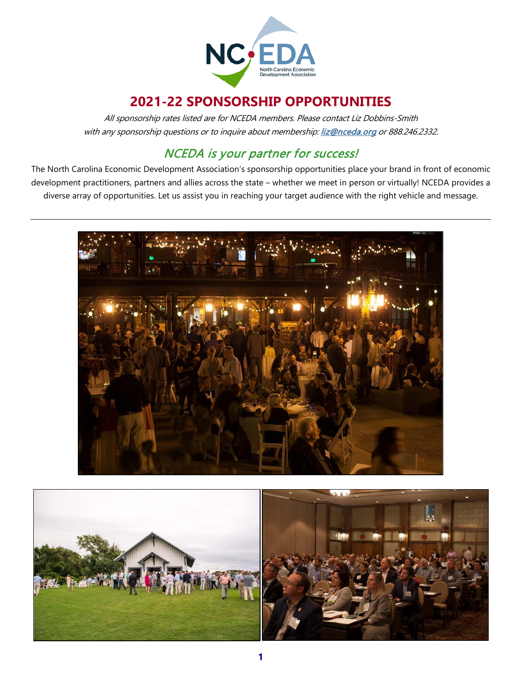

# **2021-22 SPONSORSHIP OPPORTUNITIES**

All sponsorship rates listed are for NCEDA members. Please contact Liz Dobbins-Smith with any sponsorship questions or to inquire about membership[: liz@nceda.org](mailto:liz@nceda.org) or 888.246.2332.

## NCEDA is your partner for success!

The North Carolina Economic Development Association's sponsorship opportunities place your brand in front of economic development practitioners, partners and allies across the state – whether we meet in person or virtually! NCEDA provides a diverse array of opportunities. Let us assist you in reaching your target audience with the right vehicle and message.



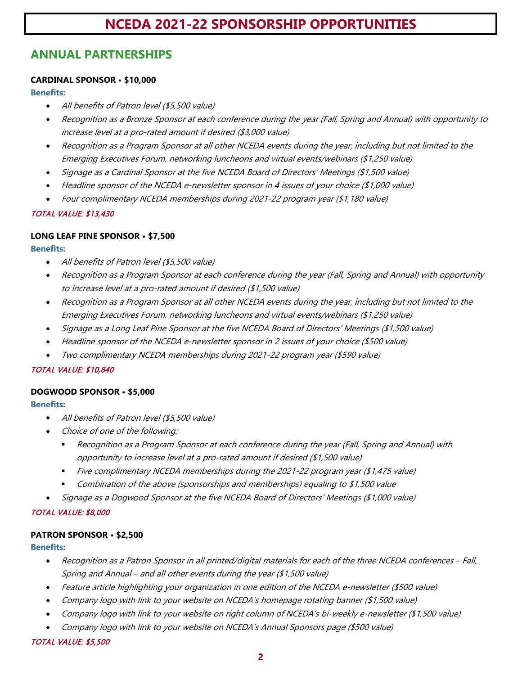## **ANNUAL PARTNERSHIPS**

### **CARDINAL SPONSOR • \$10,000**

**Benefits:**

- All benefits of Patron level (\$5,500 value)
- Recognition as a Bronze Sponsor at each conference during the year (Fall, Spring and Annual) with opportunity to increase level at a pro-rated amount if desired (\$3,000 value)
- Recognition as a Program Sponsor at all other NCEDA events during the year, including but not limited to the Emerging Executives Forum, networking luncheons and virtual events/webinars (\$1,250 value)
- Signage as a Cardinal Sponsor at the five NCEDA Board of Directors' Meetings (\$1,500 value)
- Headline sponsor of the NCEDA e-newsletter sponsor in 4 issues of your choice (\$1,000 value)
- Four complimentary NCEDA memberships during 2021-22 program year (\$1,180 value)

### TOTAL VALUE: \$13,430

### **LONG LEAF PINE SPONSOR • \$7,500**

**Benefits:**

- All benefits of Patron level (\$5,500 value)
- Recognition as a Program Sponsor at each conference during the year (Fall, Spring and Annual) with opportunity to increase level at a pro-rated amount if desired (\$1,500 value)
- Recognition as a Program Sponsor at all other NCEDA events during the year, including but not limited to the Emerging Executives Forum, networking luncheons and virtual events/webinars (\$1,250 value)
- Signage as a Long Leaf Pine Sponsor at the five NCEDA Board of Directors' Meetings (\$1,500 value)
- Headline sponsor of the NCEDA e-newsletter sponsor in 2 issues of your choice (\$500 value)
- Two complimentary NCEDA memberships during 2021-22 program year (\$590 value)

### TOTAL VALUE: \$10,840

### **DOGWOOD SPONSOR • \$5,000**

**Benefits:**

- All benefits of Patron level (\$5,500 value)
- Choice of one of the following:
	- Recognition as a Program Sponsor at each conference during the year (Fall, Spring and Annual) with opportunity to increase level at a pro-rated amount if desired (\$1,500 value)
	- Five complimentary NCEDA memberships during the 2021-22 program year  $(\$1,475 \text{ value})$
	- Combination of the above (sponsorships and memberships) equaling to \$1,500 value
- Signage as a Dogwood Sponsor at the five NCEDA Board of Directors' Meetings (\$1,000 value)

### TOTAL VALUE: \$8,000

### **PATRON SPONSOR • \$2,500**

### **Benefits:**

- Recognition as a Patron Sponsor in all printed/digital materials for each of the three NCEDA conferences Fall, Spring and Annual – and all other events during the year (\$1,500 value)
- Feature article highlighting your organization in one edition of the NCEDA e-newsletter (\$500 value)
- Company logo with link to your website on NCEDA's homepage rotating banner (\$1,500 value)
- Company logo with link to your website on right column of NCEDA's bi-weekly e-newsletter (\$1,500 value)
- Company logo with link to your website on NCEDA's Annual Sponsors page (\$500 value)

### TOTAL VALUE: \$5,500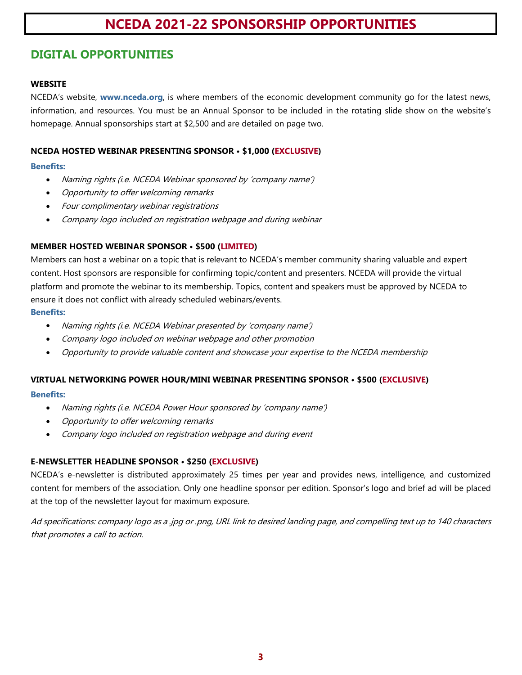## **DIGITAL OPPORTUNITIES**

### **WEBSITE**

NCEDA's website, **[www.nceda.org](http://www.nceda.org/)**, is where members of the economic development community go for the latest news, information, and resources. You must be an Annual Sponsor to be included in the rotating slide show on the website's homepage. Annual sponsorships start at \$2,500 and are detailed on page two.

### **NCEDA HOSTED WEBINAR PRESENTING SPONSOR • \$1,000 (EXCLUSIVE)**

### **Benefits:**

- Naming rights (i.e. NCEDA Webinar sponsored by 'company name')
- Opportunity to offer welcoming remarks
- Four complimentary webinar registrations
- Company logo included on registration webpage and during webinar

### **MEMBER HOSTED WEBINAR SPONSOR • \$500 (LIMITED)**

Members can host a webinar on a topic that is relevant to NCEDA's member community sharing valuable and expert content. Host sponsors are responsible for confirming topic/content and presenters. NCEDA will provide the virtual platform and promote the webinar to its membership. Topics, content and speakers must be approved by NCEDA to ensure it does not conflict with already scheduled webinars/events. **Benefits:**

- Naming rights (i.e. NCEDA Webinar presented by 'company name')
- Company logo included on webinar webpage and other promotion
- Opportunity to provide valuable content and showcase your expertise to the NCEDA membership

### **VIRTUAL NETWORKING POWER HOUR/MINI WEBINAR PRESENTING SPONSOR • \$500 (EXCLUSIVE)**

### **Benefits:**

- Naming rights (i.e. NCEDA Power Hour sponsored by 'company name')
- Opportunity to offer welcoming remarks
- Company logo included on registration webpage and during event

### **E-NEWSLETTER HEADLINE SPONSOR • \$250 (EXCLUSIVE)**

NCEDA's e-newsletter is distributed approximately 25 times per year and provides news, intelligence, and customized content for members of the association. Only one headline sponsor per edition. Sponsor's logo and brief ad will be placed at the top of the newsletter layout for maximum exposure.

Ad specifications: company logo as a .jpg or .png, URL link to desired landing page, and compelling text up to 140 characters that promotes a call to action.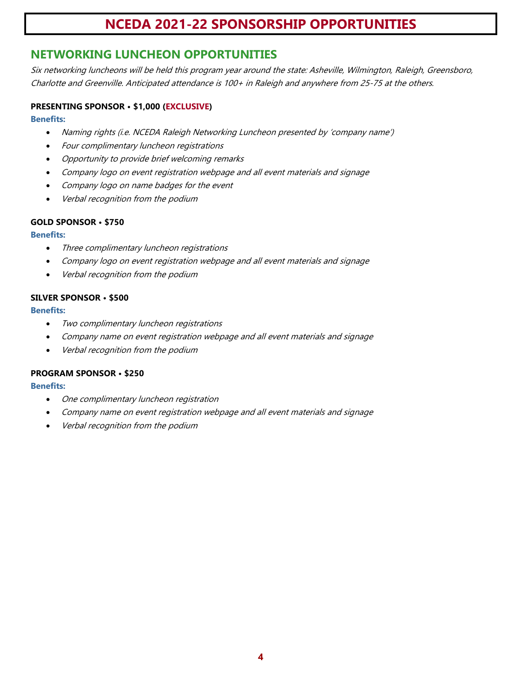## **NETWORKING LUNCHEON OPPORTUNITIES**

Six networking luncheons will be held this program year around the state: Asheville, Wilmington, Raleigh, Greensboro, Charlotte and Greenville. Anticipated attendance is 100+ in Raleigh and anywhere from 25-75 at the others.

### **PRESENTING SPONSOR • \$1,000 (EXCLUSIVE)**

#### **Benefits:**

- Naming rights (i.e. NCEDA Raleigh Networking Luncheon presented by 'company name')
- Four complimentary luncheon registrations
- Opportunity to provide brief welcoming remarks
- Company logo on event registration webpage and all event materials and signage
- Company logo on name badges for the event
- Verbal recognition from the podium

### **GOLD SPONSOR • \$750**

### **Benefits:**

- Three complimentary luncheon registrations
- Company logo on event registration webpage and all event materials and signage
- Verbal recognition from the podium

### **SILVER SPONSOR • \$500**

### **Benefits:**

- Two complimentary luncheon registrations
- Company name on event registration webpage and all event materials and signage
- Verbal recognition from the podium

### **PROGRAM SPONSOR • \$250**

- One complimentary luncheon registration
- Company name on event registration webpage and all event materials and signage
- Verbal recognition from the podium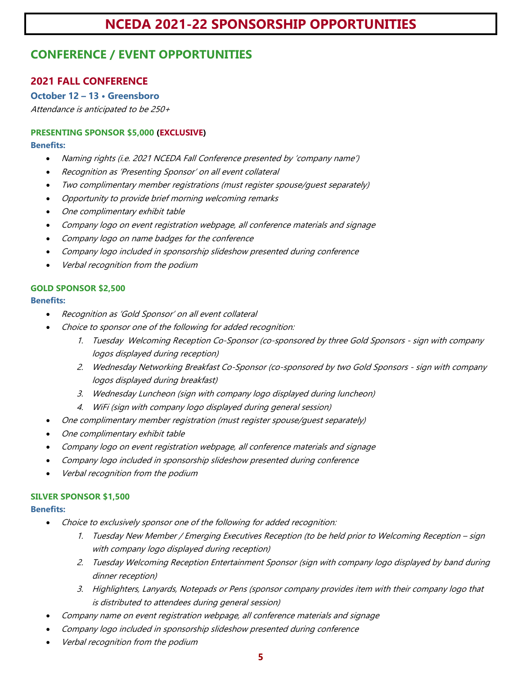## **CONFERENCE / EVENT OPPORTUNITIES**

### **2021 FALL CONFERENCE**

### **October 12 – 13 • Greensboro**

Attendance is anticipated to be 250+

### **PRESENTING SPONSOR \$5,000 (EXCLUSIVE)**

### **Benefits:**

- Naming rights (i.e. 2021 NCEDA Fall Conference presented by 'company name')
- Recognition as 'Presenting Sponsor' on all event collateral
- Two complimentary member registrations (must register spouse/guest separately)
- Opportunity to provide brief morning welcoming remarks
- One complimentary exhibit table
- Company logo on event registration webpage, all conference materials and signage
- Company logo on name badges for the conference
- Company logo included in sponsorship slideshow presented during conference
- Verbal recognition from the podium

### **GOLD SPONSOR \$2,500**

### **Benefits:**

- Recognition as 'Gold Sponsor' on all event collateral
- Choice to sponsor one of the following for added recognition:
	- 1. Tuesday Welcoming Reception Co-Sponsor (co-sponsored by three Gold Sponsors sign with company logos displayed during reception)
	- 2. Wednesday Networking Breakfast Co-Sponsor (co-sponsored by two Gold Sponsors sign with company logos displayed during breakfast)
	- 3. Wednesday Luncheon (sign with company logo displayed during luncheon)
	- 4. WiFi (sign with company logo displayed during general session)
- One complimentary member registration (must register spouse/guest separately)
- One complimentary exhibit table
- Company logo on event registration webpage, all conference materials and signage
- Company logo included in sponsorship slideshow presented during conference
- Verbal recognition from the podium

### **SILVER SPONSOR \$1,500**

- Choice to exclusively sponsor one of the following for added recognition:
	- 1. Tuesday New Member / Emerging Executives Reception (to be held prior to Welcoming Reception sign with company logo displayed during reception)
	- 2. Tuesday Welcoming Reception Entertainment Sponsor (sign with company logo displayed by band during dinner reception)
	- 3. Highlighters, Lanyards, Notepads or Pens (sponsor company provides item with their company logo that is distributed to attendees during general session)
- Company name on event registration webpage, all conference materials and signage
- Company logo included in sponsorship slideshow presented during conference
- Verbal recognition from the podium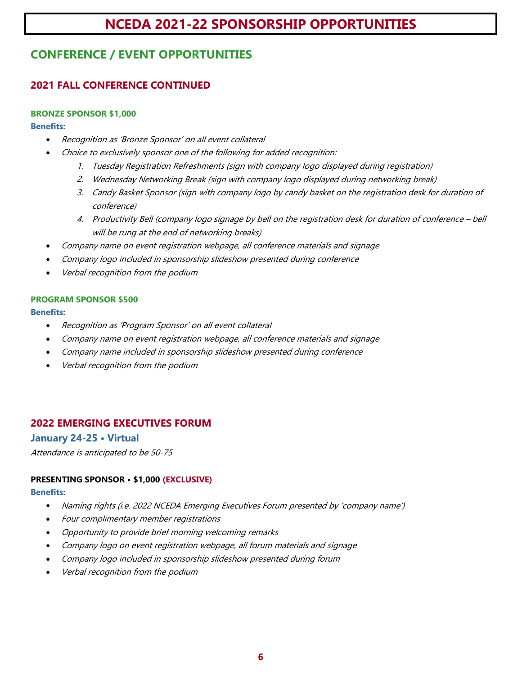# **CONFERENCE / EVENT OPPORTUNITIES**

## **2021 FALL CONFERENCE CONTINUED**

### **BRONZE SPONSOR \$1,000**

### **Benefits:**

- Recognition as 'Bronze Sponsor' on all event collateral
	- Choice to exclusively sponsor one of the following for added recognition:
		- 1. Tuesday Registration Refreshments (sign with company logo displayed during registration)
		- 2. Wednesday Networking Break (sign with company logo displayed during networking break)
		- 3. Candy Basket Sponsor (sign with company logo by candy basket on the registration desk for duration of conference)
		- 4. Productivity Bell (company logo signage by bell on the registration desk for duration of conference bell will be rung at the end of networking breaks)
- Company name on event registration webpage, all conference materials and signage
- Company logo included in sponsorship slideshow presented during conference
- Verbal recognition from the podium

### **PROGRAM SPONSOR \$500**

### **Benefits:**

- Recognition as 'Program Sponsor' on all event collateral
- Company name on event registration webpage, all conference materials and signage
- Company name included in sponsorship slideshow presented during conference
- Verbal recognition from the podium

### **2022 EMERGING EXECUTIVES FORUM**

### **January 24-25 • Virtual**

Attendance is anticipated to be 50-75

### **PRESENTING SPONSOR • \$1,000 (EXCLUSIVE)**

- Naming rights (i.e. 2022 NCEDA Emerging Executives Forum presented by 'company name')
- Four complimentary member registrations
- Opportunity to provide brief morning welcoming remarks
- Company logo on event registration webpage, all forum materials and signage
- Company logo included in sponsorship slideshow presented during forum
- Verbal recognition from the podium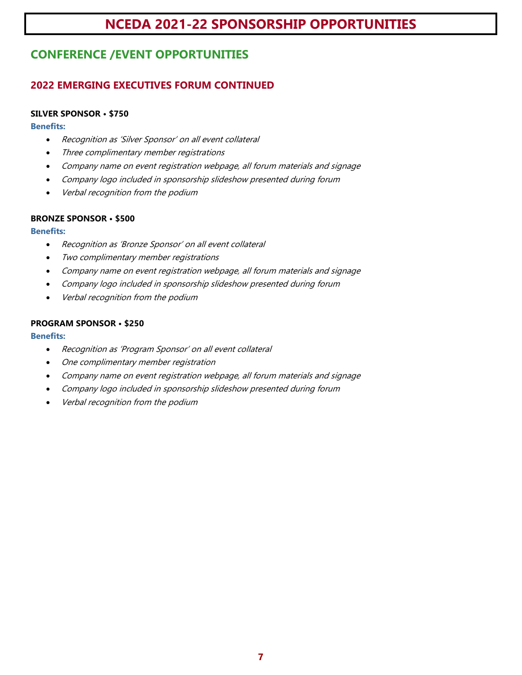# **CONFERENCE /EVENT OPPORTUNITIES**

## **2022 EMERGING EXECUTIVES FORUM CONTINUED**

### **SILVER SPONSOR • \$750**

#### **Benefits:**

- Recognition as 'Silver Sponsor' on all event collateral
- Three complimentary member registrations
- Company name on event registration webpage, all forum materials and signage
- Company logo included in sponsorship slideshow presented during forum
- Verbal recognition from the podium

### **BRONZE SPONSOR • \$500**

### **Benefits:**

- Recognition as 'Bronze Sponsor' on all event collateral
- Two complimentary member registrations
- Company name on event registration webpage, all forum materials and signage
- Company logo included in sponsorship slideshow presented during forum
- Verbal recognition from the podium

### **PROGRAM SPONSOR • \$250**

- Recognition as 'Program Sponsor' on all event collateral
- One complimentary member registration
- Company name on event registration webpage, all forum materials and signage
- Company logo included in sponsorship slideshow presented during forum
- Verbal recognition from the podium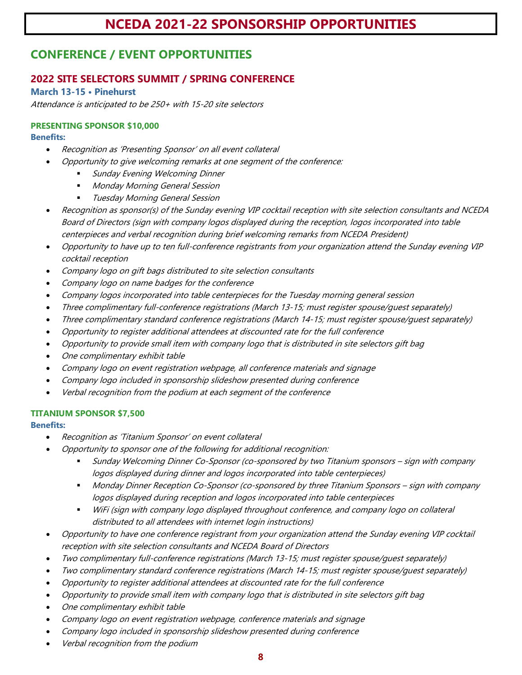## **CONFERENCE / EVENT OPPORTUNITIES**

### **2022 SITE SELECTORS SUMMIT / SPRING CONFERENCE**

**March 13-15 • Pinehurst**

Attendance is anticipated to be 250+ with 15-20 site selectors

## **PRESENTING SPONSOR \$10,000**

#### **Benefits:**

- Recognition as 'Presenting Sponsor' on all event collateral
- Opportunity to give welcoming remarks at one segment of the conference:
	- Sunday Evening Welcoming Dinner
	- **Monday Morning General Session**
	- Tuesday Morning General Session
- Recognition as sponsor(s) of the Sunday evening VIP cocktail reception with site selection consultants and NCEDA Board of Directors (sign with company logos displayed during the reception, logos incorporated into table centerpieces and verbal recognition during brief welcoming remarks from NCEDA President)
- Opportunity to have up to ten full-conference registrants from your organization attend the Sunday evening VIP cocktail reception
- Company logo on gift bags distributed to site selection consultants
- Company logo on name badges for the conference
- Company logos incorporated into table centerpieces for the Tuesday morning general session
- Three complimentary full-conference registrations (March 13-15; must register spouse/guest separately)
- Three complimentary standard conference registrations (March 14-15; must register spouse/guest separately)
- Opportunity to register additional attendees at discounted rate for the full conference
- Opportunity to provide small item with company logo that is distributed in site selectors gift bag
- One complimentary exhibit table
- Company logo on event registration webpage, all conference materials and signage
- Company logo included in sponsorship slideshow presented during conference
- Verbal recognition from the podium at each segment of the conference

### **TITANIUM SPONSOR \$7,500**

- Recognition as 'Titanium Sponsor' on event collateral
- Opportunity to sponsor one of the following for additional recognition:
	- Sunday Welcoming Dinner Co-Sponsor (co-sponsored by two Titanium sponsors sign with company logos displayed during dinner and logos incorporated into table centerpieces)
	- Monday Dinner Reception Co-Sponsor (co-sponsored by three Titanium Sponsors sign with company logos displayed during reception and logos incorporated into table centerpieces
	- WiFi (sign with company logo displayed throughout conference, and company logo on collateral distributed to all attendees with internet login instructions)
- Opportunity to have one conference registrant from your organization attend the Sunday evening VIP cocktail reception with site selection consultants and NCEDA Board of Directors
- Two complimentary full-conference registrations (March 13-15; must register spouse/guest separately)
- Two complimentary standard conference registrations (March 14-15; must register spouse/guest separately)
- Opportunity to register additional attendees at discounted rate for the full conference
- Opportunity to provide small item with company logo that is distributed in site selectors gift bag
- One complimentary exhibit table
- Company logo on event registration webpage, conference materials and signage
- Company logo included in sponsorship slideshow presented during conference
- Verbal recognition from the podium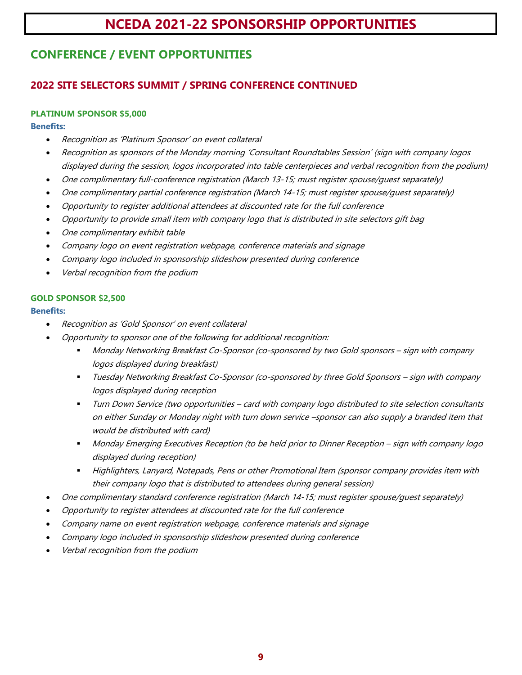# **CONFERENCE / EVENT OPPORTUNITIES**

## **2022 SITE SELECTORS SUMMIT / SPRING CONFERENCE CONTINUED**

### **PLATINUM SPONSOR \$5,000**

### **Benefits:**

- Recognition as 'Platinum Sponsor' on event collateral
- Recognition as sponsors of the Monday morning 'Consultant Roundtables Session' (sign with company logos displayed during the session, logos incorporated into table centerpieces and verbal recognition from the podium)
- One complimentary full-conference registration (March 13-15; must register spouse/guest separately)
- One complimentary partial conference registration (March 14-15; must register spouse/guest separately)
- Opportunity to register additional attendees at discounted rate for the full conference
- Opportunity to provide small item with company logo that is distributed in site selectors gift bag
- One complimentary exhibit table
- Company logo on event registration webpage, conference materials and signage
- Company logo included in sponsorship slideshow presented during conference
- Verbal recognition from the podium

### **GOLD SPONSOR \$2,500**

- Recognition as 'Gold Sponsor' on event collateral
- Opportunity to sponsor one of the following for additional recognition:
	- Monday Networking Breakfast Co-Sponsor (co-sponsored by two Gold sponsors sign with company logos displayed during breakfast)
	- Tuesday Networking Breakfast Co-Sponsor (co-sponsored by three Gold Sponsors sign with company logos displayed during reception
	- Turn Down Service (two opportunities card with company logo distributed to site selection consultants on either Sunday or Monday night with turn down service –sponsor can also supply a branded item that would be distributed with card)
	- Monday Emerging Executives Reception (to be held prior to Dinner Reception sign with company logo displayed during reception)
	- Highlighters, Lanyard, Notepads, Pens or other Promotional Item (sponsor company provides item with their company logo that is distributed to attendees during general session)
- One complimentary standard conference registration (March 14-15; must register spouse/guest separately)
- Opportunity to register attendees at discounted rate for the full conference
- Company name on event registration webpage, conference materials and signage
- Company logo included in sponsorship slideshow presented during conference
- Verbal recognition from the podium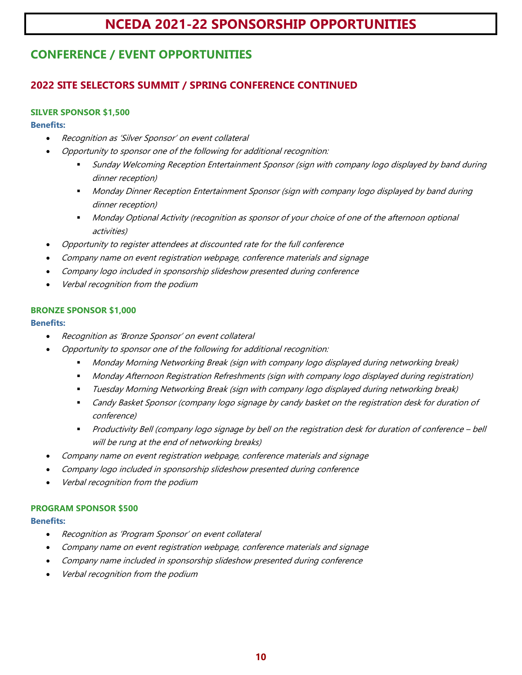# **CONFERENCE / EVENT OPPORTUNITIES**

## **2022 SITE SELECTORS SUMMIT / SPRING CONFERENCE CONTINUED**

### **SILVER SPONSOR \$1,500**

### **Benefits:**

- Recognition as 'Silver Sponsor' on event collateral
- Opportunity to sponsor one of the following for additional recognition:
	- Sunday Welcoming Reception Entertainment Sponsor (sign with company logo displayed by band during dinner reception)
	- Monday Dinner Reception Entertainment Sponsor (sign with company logo displayed by band during dinner reception)
	- Monday Optional Activity (recognition as sponsor of your choice of one of the afternoon optional activities)
- Opportunity to register attendees at discounted rate for the full conference
- Company name on event registration webpage, conference materials and signage
- Company logo included in sponsorship slideshow presented during conference
- Verbal recognition from the podium

### **BRONZE SPONSOR \$1,000**

### **Benefits:**

- Recognition as 'Bronze Sponsor' on event collateral
	- Opportunity to sponsor one of the following for additional recognition:
		- Monday Morning Networking Break (sign with company logo displayed during networking break)
		- Monday Afternoon Registration Refreshments (sign with company logo displayed during registration)
		- Tuesday Morning Networking Break (sign with company logo displayed during networking break)
		- Candy Basket Sponsor (company logo signage by candy basket on the registration desk for duration of conference)
		- Productivity Bell (company logo signage by bell on the registration desk for duration of conference bell will be rung at the end of networking breaks)
- Company name on event registration webpage, conference materials and signage
- Company logo included in sponsorship slideshow presented during conference
- Verbal recognition from the podium

### **PROGRAM SPONSOR \$500**

- Recognition as 'Program Sponsor' on event collateral
- Company name on event registration webpage, conference materials and signage
- Company name included in sponsorship slideshow presented during conference
- Verbal recognition from the podium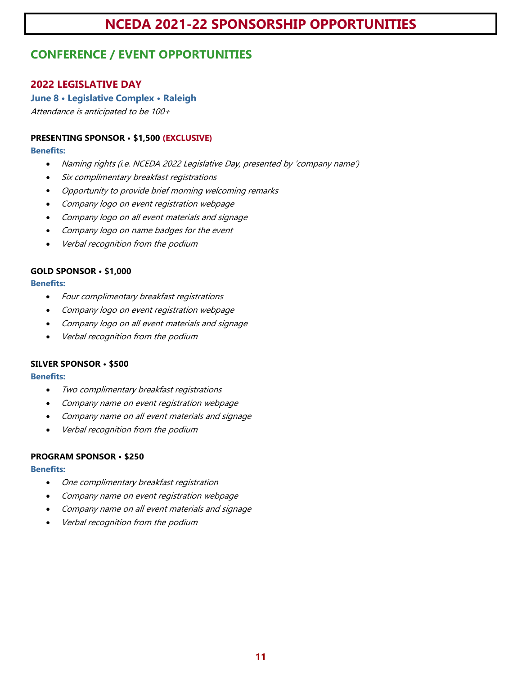## **CONFERENCE / EVENT OPPORTUNITIES**

### **2022 LEGISLATIVE DAY**

### **June 8 • Legislative Complex • Raleigh**

Attendance is anticipated to be 100+

### **PRESENTING SPONSOR • \$1,500 (EXCLUSIVE)**

#### **Benefits:**

- Naming rights (i.e. NCEDA 2022 Legislative Day, presented by 'company name')
- Six complimentary breakfast registrations
- Opportunity to provide brief morning welcoming remarks
- Company logo on event registration webpage
- Company logo on all event materials and signage
- Company logo on name badges for the event
- Verbal recognition from the podium

### **GOLD SPONSOR • \$1,000**

### **Benefits:**

- Four complimentary breakfast registrations
- Company logo on event registration webpage
- Company logo on all event materials and signage
- Verbal recognition from the podium

### **SILVER SPONSOR • \$500**

### **Benefits:**

- Two complimentary breakfast registrations
- Company name on event registration webpage
- Company name on all event materials and signage
- Verbal recognition from the podium

### **PROGRAM SPONSOR • \$250**

- One complimentary breakfast registration
- Company name on event registration webpage
- Company name on all event materials and signage
- Verbal recognition from the podium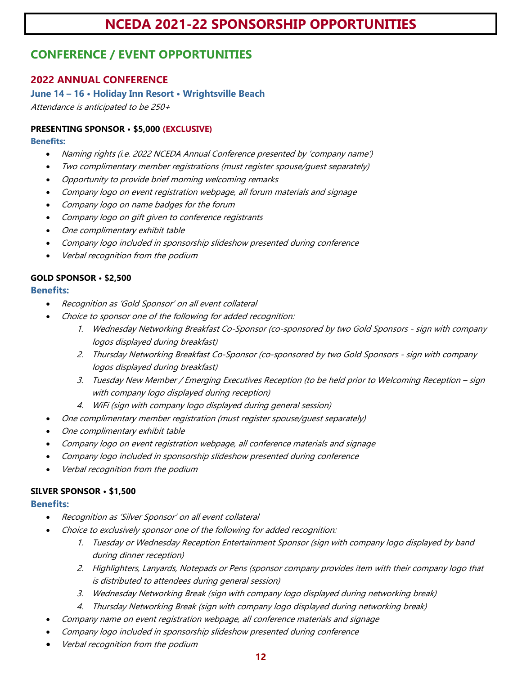## **CONFERENCE / EVENT OPPORTUNITIES**

### **2022 ANNUAL CONFERENCE**

**June 14 – 16 • Holiday Inn Resort • Wrightsville Beach**

Attendance is anticipated to be 250+

### **PRESENTING SPONSOR • \$5,000 (EXCLUSIVE)**

### **Benefits:**

- Naming rights (i.e. 2022 NCEDA Annual Conference presented by 'company name')
- Two complimentary member registrations (must register spouse/guest separately)
- Opportunity to provide brief morning welcoming remarks
- Company logo on event registration webpage, all forum materials and signage
- Company logo on name badges for the forum
- Company logo on gift given to conference registrants
- One complimentary exhibit table
- Company logo included in sponsorship slideshow presented during conference
- Verbal recognition from the podium

### **GOLD SPONSOR • \$2,500**

### **Benefits:**

- Recognition as 'Gold Sponsor' on all event collateral
- Choice to sponsor one of the following for added recognition:
	- 1. Wednesday Networking Breakfast Co-Sponsor (co-sponsored by two Gold Sponsors sign with company logos displayed during breakfast)
	- 2. Thursday Networking Breakfast Co-Sponsor (co-sponsored by two Gold Sponsors sign with company logos displayed during breakfast)
	- 3. Tuesday New Member / Emerging Executives Reception (to be held prior to Welcoming Reception sign with company logo displayed during reception)
	- 4. WiFi (sign with company logo displayed during general session)
- One complimentary member registration (must register spouse/guest separately)
- One complimentary exhibit table
- Company logo on event registration webpage, all conference materials and signage
- Company logo included in sponsorship slideshow presented during conference
- Verbal recognition from the podium

### **SILVER SPONSOR • \$1,500**

- Recognition as 'Silver Sponsor' on all event collateral
	- Choice to exclusively sponsor one of the following for added recognition:
		- 1. Tuesday or Wednesday Reception Entertainment Sponsor (sign with company logo displayed by band during dinner reception)
		- 2. Highlighters, Lanyards, Notepads or Pens (sponsor company provides item with their company logo that is distributed to attendees during general session)
		- 3. Wednesday Networking Break (sign with company logo displayed during networking break)
		- 4. Thursday Networking Break (sign with company logo displayed during networking break)
	- Company name on event registration webpage, all conference materials and signage
- Company logo included in sponsorship slideshow presented during conference
- Verbal recognition from the podium